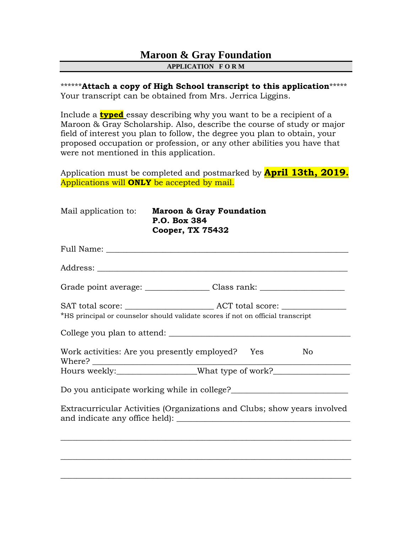## **Maroon & Gray Foundation APPLICATION F O R M**

\*\*\*\*\*\***Attach a copy of High School transcript to this application**\*\*\*\*\* Your transcript can be obtained from Mrs. Jerrica Liggins.

Include a **typed** essay describing why you want to be a recipient of a Maroon & Gray Scholarship. Also, describe the course of study or major field of interest you plan to follow, the degree you plan to obtain, your proposed occupation or profession, or any other abilities you have that were not mentioned in this application.

Application must be completed and postmarked by **April 13th, 2019.** Applications will **ONLY** be accepted by mail.

| Mail application to: | <b>Maroon &amp; Gray Foundation</b><br>P.O. Box 384<br><b>Cooper, TX 75432</b>                    |
|----------------------|---------------------------------------------------------------------------------------------------|
|                      |                                                                                                   |
|                      |                                                                                                   |
|                      | Grade point average: __________________Class rank: _____________________________                  |
|                      | *HS principal or counselor should validate scores if not on official transcript                   |
|                      | College you plan to attend:<br>Work activities: Are you presently employed? Yes<br>N <sub>o</sub> |
|                      | Hours weekly:____________________What type of work?_____________________________                  |
|                      | Do you anticipate working while in college?                                                       |
|                      | Extracurricular Activities (Organizations and Clubs; show years involved                          |
|                      |                                                                                                   |
|                      |                                                                                                   |
|                      |                                                                                                   |

 $\_$  , and the set of the set of the set of the set of the set of the set of the set of the set of the set of the set of the set of the set of the set of the set of the set of the set of the set of the set of the set of th